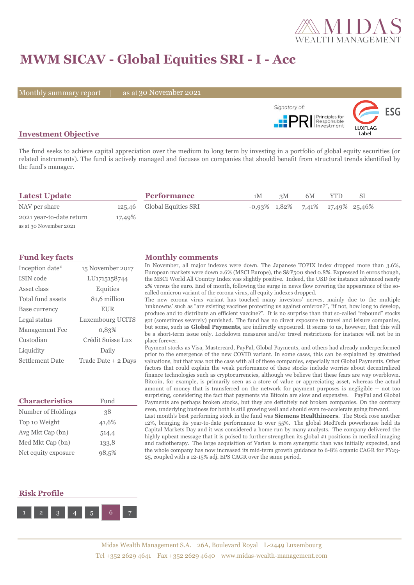

# **MWM SICAV - Global Equities SRI - I - Acc**

Monthly summary report | as at 30 November 2021



### **Investment Objective**

The fund seeks to achieve capital appreciation over the medium to long term by investing in a portfolio of global equity securities (or related instruments). The fund is actively managed and focuses on companies that should benefit from structural trends identified by the fund's manager.

| <b>Latest Update</b>     |        | <b>Performance</b>         | 1M | 3M | 6M | YTD                                     | SI |  |
|--------------------------|--------|----------------------------|----|----|----|-----------------------------------------|----|--|
| NAV per share            |        | 125,46 Global Equities SRI |    |    |    | $-0.93\%$ 1,82\% 7,41\% 17,49\% 25,46\% |    |  |
| 2021 year-to-date return | 17,49% |                            |    |    |    |                                         |    |  |
| as at 30 November 2021   |        |                            |    |    |    |                                         |    |  |

| Inception date*        | 15 November 2017    |
|------------------------|---------------------|
| ISIN code              | LU1715158744        |
| Asset class            | Equities            |
| Total fund assets      | 81,6 million        |
| Base currency          | <b>EUR</b>          |
| Legal status           | Luxembourg UCITS    |
| Management Fee         | 0.83%               |
| Custodian              | Crédit Suisse Lux   |
| Liquidity              | Daily               |
| <b>Settlement Date</b> | Trade Date + 2 Days |

| <b>Characteristics</b> | Fund  |  |  |  |
|------------------------|-------|--|--|--|
| Number of Holdings     | 38    |  |  |  |
| Top 10 Weight          | 41,6% |  |  |  |
| Avg Mkt Cap (bn)       | 514,4 |  |  |  |
| Med Mkt Cap (bn)       | 133,8 |  |  |  |
| Net equity exposure    | 98.5% |  |  |  |

## **Fund key facts Monthly comments**

In November, all major indexes were down. The Japanese TOPIX index dropped more than 3.6%, European markets were down 2.6% (MSCI Europe), the S&P500 shed 0.8%. Expressed in euros though, the MSCI World All Country Index was slightly positive. Indeed, the USD for instance advanced nearly 2% versus the euro. End of month, following the surge in news flow covering the appearance of the socalled omicron variant of the corona virus, all equity indexes dropped.

The new corona virus variant has touched many investors' nerves, mainly due to the multiple 'unknowns' such as "are existing vaccines protecting us against omicron?", "if not, how long to develop, produce and to distribute an efficient vaccine?". It is no surprise than that so-called "rebound" stocks got (sometimes severely) punished. The fund has no direct exposure to travel and leisure companies, but some, such as **Global Payments**, are indirectly exposured. It seems to us, however, that this will be a short-term issue only. Lockdown measures and/or travel restrictions for instance will not be in place forever.

Payment stocks as Visa, Mastercard, PayPal, Global Payments, and others had already underperformed prior to the emergence of the new COVID variant. In some cases, this can be explained by stretched valuations, but that was not the case with all of these companies, especially not Global Payments. Other factors that could explain the weak performance of these stocks include worries about decentralized finance technologies such as cryptocurrencies, although we believe that these fears are way overblown. Bitcoin, for example, is primarily seen as a store of value or appreciating asset, whereas the actual amount of money that is transferred on the network for payment purposes is negligible -- not too surprising, considering the fact that payments via Bitcoin are slow and expensive. PayPal and Global Payments are perhaps broken stocks, but they are definitely not broken companies. On the contrary even, underlying business for both is still growing well and should even re-accelerate going forward. Last month's best performing stock in the fund was **Siemens Healthineers**. The Stock rose another

12%, bringing its year-to-date performance to over 55%. The global MedTech powerhouse held its Capital Markets Day and it was considered a home run by many analysts. The company delivered the highly upbeat message that it is poised to further strengthen its global #1 positions in medical imaging and radiotherapy. The large acquisition of Varian is more synergetic than was initially expected, and the whole company has now increased its mid-term growth guidance to 6-8% organic CAGR for FY23- 25, coupled with a 12-15% adj. EPS CAGR over the same period.

#### **Risk Profile**